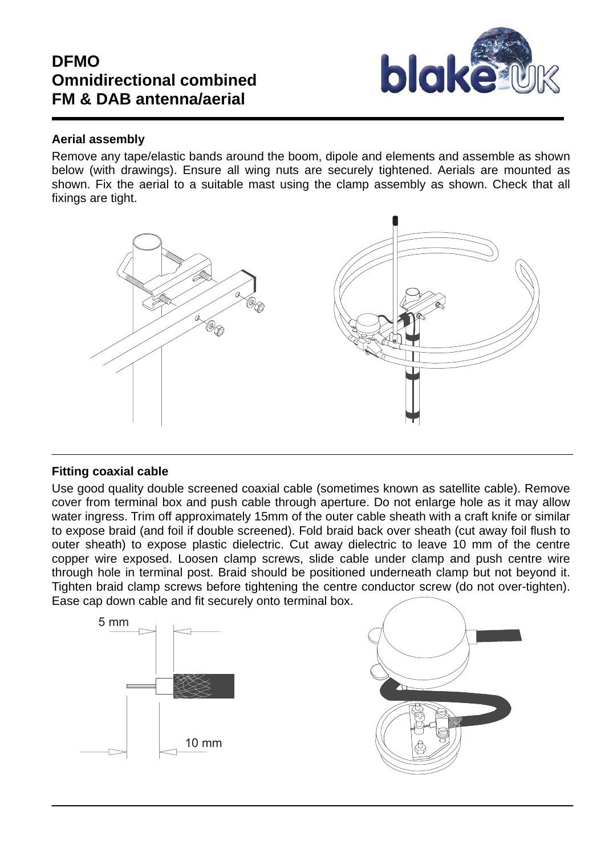# **DFMO Omnidirectional combined FM & DAB antenna/aerial**



### **Aerial assembly**

Remove any tape/elastic bands around the boom, dipole and elements and assemble as shown below (with drawings). Ensure all wing nuts are securely tightened. Aerials are mounted as shown. Fix the aerial to a suitable mast using the clamp assembly as shown. Check that all fixings are tight.



# **Fitting coaxial cable**

Use good quality double screened coaxial cable (sometimes known as satellite cable). Remove cover from terminal box and push cable through aperture. Do not enlarge hole as it may allow water ingress. Trim off approximately 15mm of the outer cable sheath with a craft knife or similar to expose braid (and foil if double screened). Fold braid back over sheath (cut away foil flush to outer sheath) to expose plastic dielectric. Cut away dielectric to leave 10 mm of the centre copper wire exposed. Loosen clamp screws, slide cable under clamp and push centre wire through hole in terminal post. Braid should be positioned underneath clamp but not beyond it. Tighten braid clamp screws before tightening the centre conductor screw (do not over-tighten). Ease cap down cable and fit securely onto terminal box.